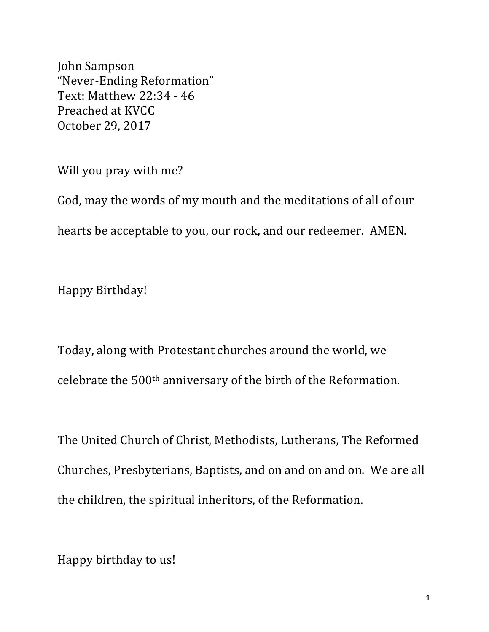John Sampson "Never-Ending Reformation" Text: Matthew 22:34 - 46 Preached at KVCC October 29, 2017

Will you pray with me?

God, may the words of my mouth and the meditations of all of our hearts be acceptable to you, our rock, and our redeemer. AMEN.

Happy Birthday!

Today, along with Protestant churches around the world, we celebrate the 500<sup>th</sup> anniversary of the birth of the Reformation.

The United Church of Christ, Methodists, Lutherans, The Reformed Churches, Presbyterians, Baptists, and on and on and on. We are all the children, the spiritual inheritors, of the Reformation.

Happy birthday to us!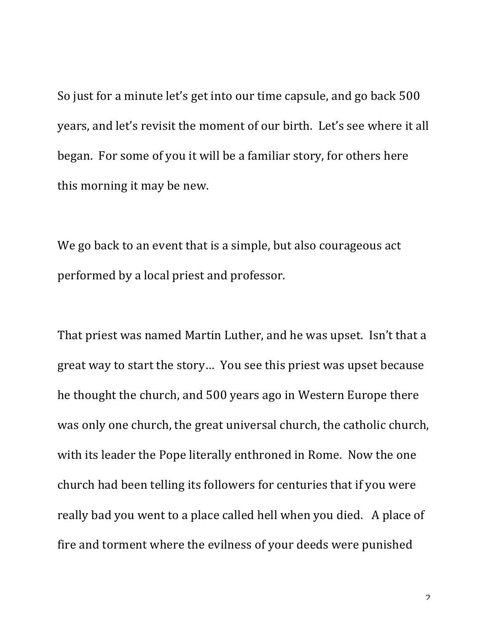So just for a minute let's get into our time capsule, and go back 500 years, and let's revisit the moment of our birth. Let's see where it all began. For some of you it will be a familiar story, for others here this morning it may be new.

We go back to an event that is a simple, but also courageous act performed by a local priest and professor.

That priest was named Martin Luther, and he was upset. Isn't that a great way to start the story... You see this priest was upset because he thought the church, and 500 years ago in Western Europe there was only one church, the great universal church, the catholic church, with its leader the Pope literally enthroned in Rome. Now the one church had been telling its followers for centuries that if you were really bad you went to a place called hell when you died. A place of fire and torment where the evilness of your deeds were punished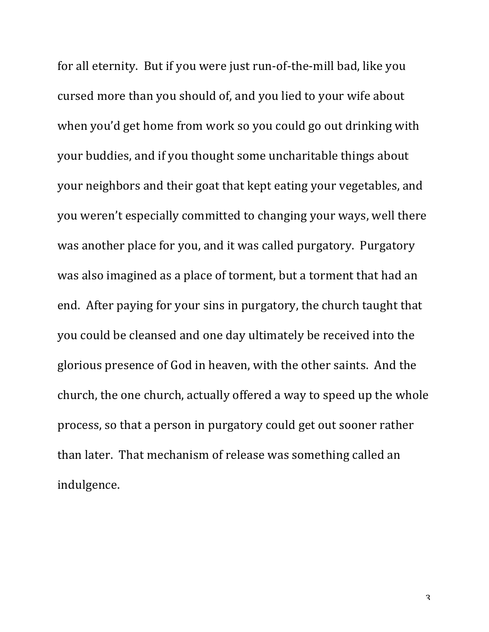for all eternity. But if you were just run-of-the-mill bad, like you cursed more than you should of, and you lied to your wife about when you'd get home from work so you could go out drinking with your buddies, and if you thought some uncharitable things about your neighbors and their goat that kept eating your vegetables, and you weren't especially committed to changing your ways, well there was another place for you, and it was called purgatory. Purgatory was also imagined as a place of torment, but a torment that had an end. After paying for your sins in purgatory, the church taught that you could be cleansed and one day ultimately be received into the glorious presence of God in heaven, with the other saints. And the church, the one church, actually offered a way to speed up the whole process, so that a person in purgatory could get out sooner rather than later. That mechanism of release was something called an indulgence. 

3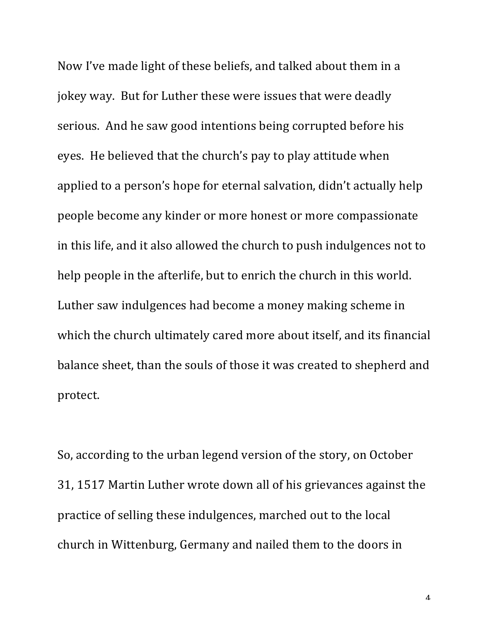Now I've made light of these beliefs, and talked about them in a jokey way. But for Luther these were issues that were deadly serious. And he saw good intentions being corrupted before his eyes. He believed that the church's pay to play attitude when applied to a person's hope for eternal salvation, didn't actually help people become any kinder or more honest or more compassionate in this life, and it also allowed the church to push indulgences not to help people in the afterlife, but to enrich the church in this world. Luther saw indulgences had become a money making scheme in which the church ultimately cared more about itself, and its financial balance sheet, than the souls of those it was created to shepherd and protect.

So, according to the urban legend version of the story, on October 31, 1517 Martin Luther wrote down all of his grievances against the practice of selling these indulgences, marched out to the local church in Wittenburg, Germany and nailed them to the doors in

 $\varDelta$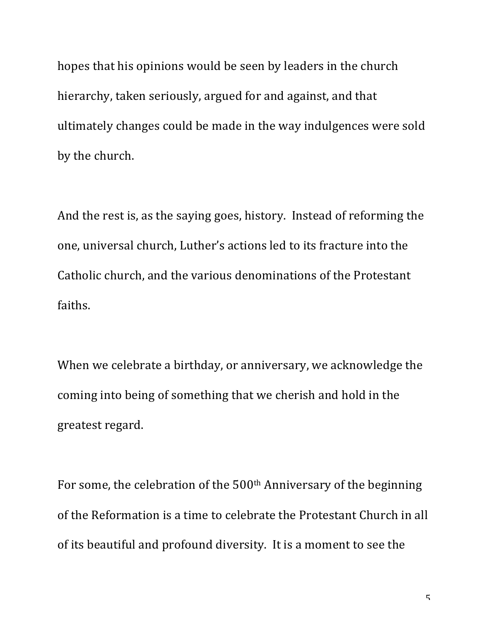hopes that his opinions would be seen by leaders in the church hierarchy, taken seriously, argued for and against, and that ultimately changes could be made in the way indulgences were sold by the church.

And the rest is, as the saying goes, history. Instead of reforming the one, universal church, Luther's actions led to its fracture into the Catholic church, and the various denominations of the Protestant faiths.

When we celebrate a birthday, or anniversary, we acknowledge the coming into being of something that we cherish and hold in the greatest regard.

For some, the celebration of the 500<sup>th</sup> Anniversary of the beginning of the Reformation is a time to celebrate the Protestant Church in all of its beautiful and profound diversity. It is a moment to see the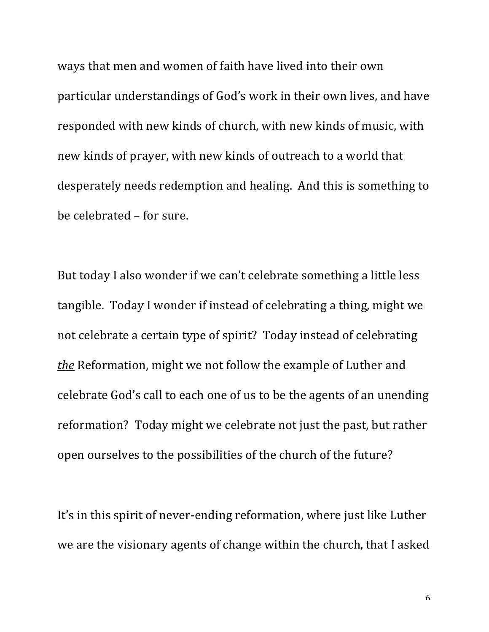ways that men and women of faith have lived into their own particular understandings of God's work in their own lives, and have responded with new kinds of church, with new kinds of music, with new kinds of prayer, with new kinds of outreach to a world that desperately needs redemption and healing. And this is something to be celebrated – for sure.

But today I also wonder if we can't celebrate something a little less tangible. Today I wonder if instead of celebrating a thing, might we not celebrate a certain type of spirit? Today instead of celebrating *the* Reformation, might we not follow the example of Luther and celebrate God's call to each one of us to be the agents of an unending reformation? Today might we celebrate not just the past, but rather open ourselves to the possibilities of the church of the future?

It's in this spirit of never-ending reformation, where just like Luther we are the visionary agents of change within the church, that I asked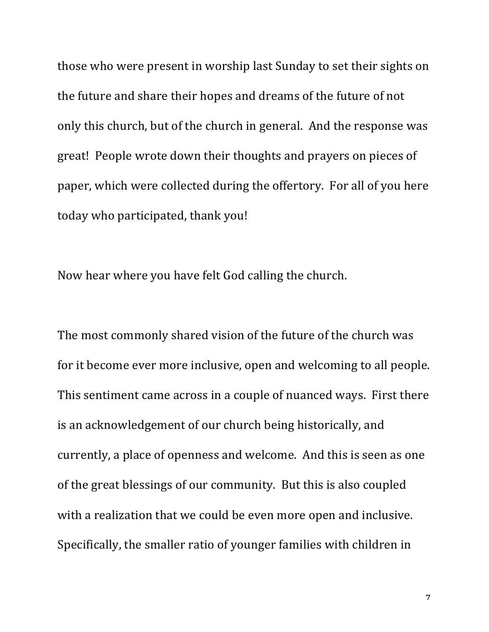those who were present in worship last Sunday to set their sights on the future and share their hopes and dreams of the future of not only this church, but of the church in general. And the response was great! People wrote down their thoughts and prayers on pieces of paper, which were collected during the offertory. For all of you here today who participated, thank you!

Now hear where you have felt God calling the church.

The most commonly shared vision of the future of the church was for it become ever more inclusive, open and welcoming to all people. This sentiment came across in a couple of nuanced ways. First there is an acknowledgement of our church being historically, and currently, a place of openness and welcome. And this is seen as one of the great blessings of our community. But this is also coupled with a realization that we could be even more open and inclusive. Specifically, the smaller ratio of younger families with children in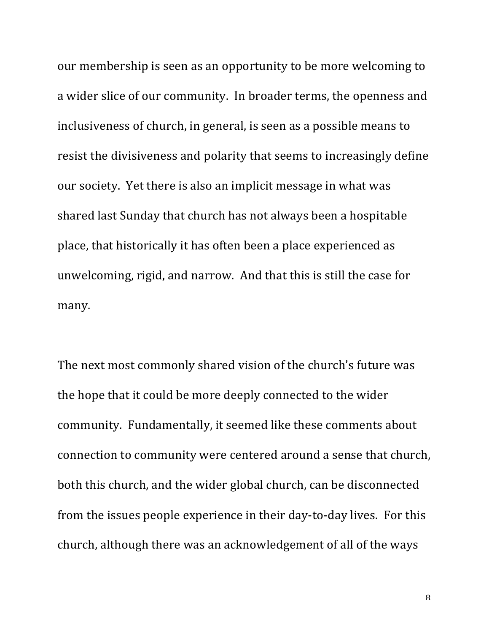our membership is seen as an opportunity to be more welcoming to a wider slice of our community. In broader terms, the openness and inclusiveness of church, in general, is seen as a possible means to resist the divisiveness and polarity that seems to increasingly define our society. Yet there is also an implicit message in what was shared last Sunday that church has not always been a hospitable place, that historically it has often been a place experienced as unwelcoming, rigid, and narrow. And that this is still the case for many.

The next most commonly shared vision of the church's future was the hope that it could be more deeply connected to the wider community. Fundamentally, it seemed like these comments about connection to community were centered around a sense that church, both this church, and the wider global church, can be disconnected from the issues people experience in their day-to-day lives. For this church, although there was an acknowledgement of all of the ways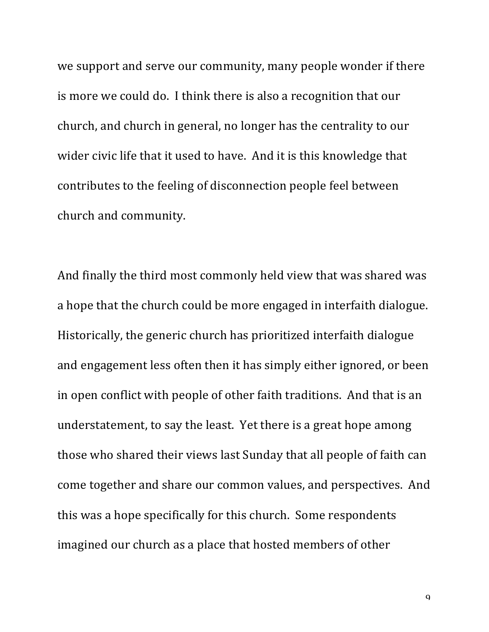we support and serve our community, many people wonder if there is more we could do. I think there is also a recognition that our church, and church in general, no longer has the centrality to our wider civic life that it used to have. And it is this knowledge that contributes to the feeling of disconnection people feel between church and community.

And finally the third most commonly held view that was shared was a hope that the church could be more engaged in interfaith dialogue. Historically, the generic church has prioritized interfaith dialogue and engagement less often then it has simply either ignored, or been in open conflict with people of other faith traditions. And that is an understatement, to say the least. Yet there is a great hope among those who shared their views last Sunday that all people of faith can come together and share our common values, and perspectives. And this was a hope specifically for this church. Some respondents imagined our church as a place that hosted members of other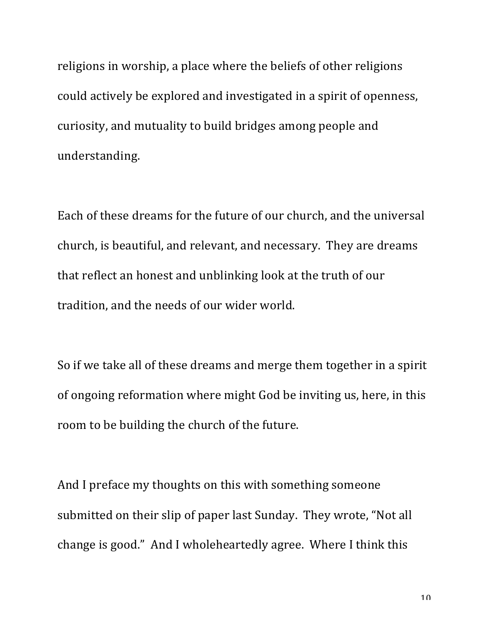religions in worship, a place where the beliefs of other religions could actively be explored and investigated in a spirit of openness, curiosity, and mutuality to build bridges among people and understanding.

Each of these dreams for the future of our church, and the universal church, is beautiful, and relevant, and necessary. They are dreams that reflect an honest and unblinking look at the truth of our tradition, and the needs of our wider world.

So if we take all of these dreams and merge them together in a spirit of ongoing reformation where might God be inviting us, here, in this room to be building the church of the future.

And I preface my thoughts on this with something someone submitted on their slip of paper last Sunday. They wrote, "Not all change is good." And I wholeheartedly agree. Where I think this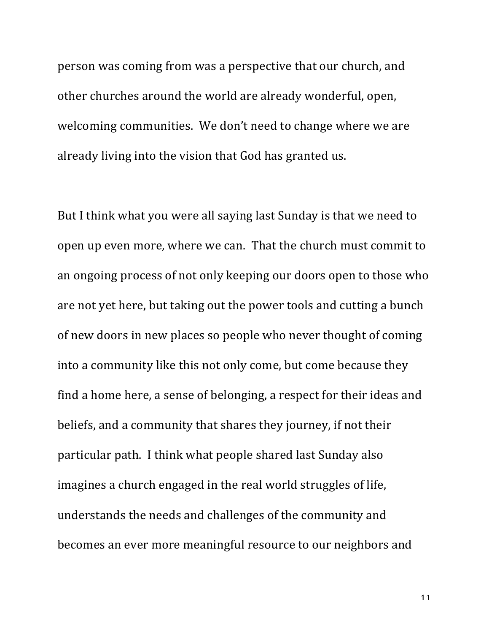person was coming from was a perspective that our church, and other churches around the world are already wonderful, open, welcoming communities. We don't need to change where we are already living into the vision that God has granted us.

But I think what you were all saying last Sunday is that we need to open up even more, where we can. That the church must commit to an ongoing process of not only keeping our doors open to those who are not yet here, but taking out the power tools and cutting a bunch of new doors in new places so people who never thought of coming into a community like this not only come, but come because they find a home here, a sense of belonging, a respect for their ideas and beliefs, and a community that shares they journey, if not their particular path. I think what people shared last Sunday also imagines a church engaged in the real world struggles of life, understands the needs and challenges of the community and becomes an ever more meaningful resource to our neighbors and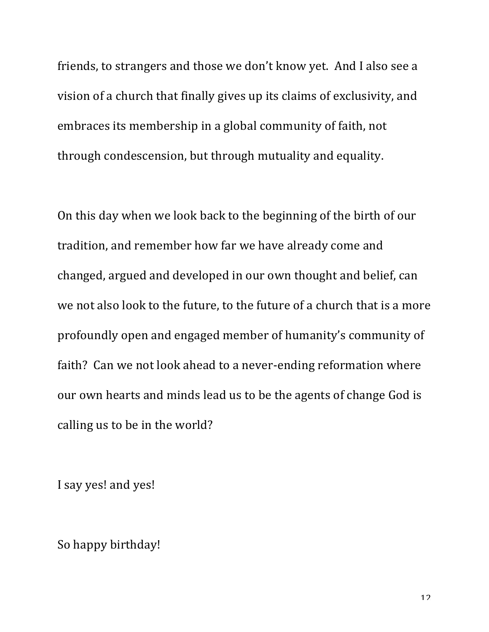friends, to strangers and those we don't know yet. And I also see a vision of a church that finally gives up its claims of exclusivity, and embraces its membership in a global community of faith, not through condescension, but through mutuality and equality.

On this day when we look back to the beginning of the birth of our tradition, and remember how far we have already come and changed, argued and developed in our own thought and belief, can we not also look to the future, to the future of a church that is a more profoundly open and engaged member of humanity's community of faith? Can we not look ahead to a never-ending reformation where our own hearts and minds lead us to be the agents of change God is calling us to be in the world?

I say yes! and yes!

So happy birthday!